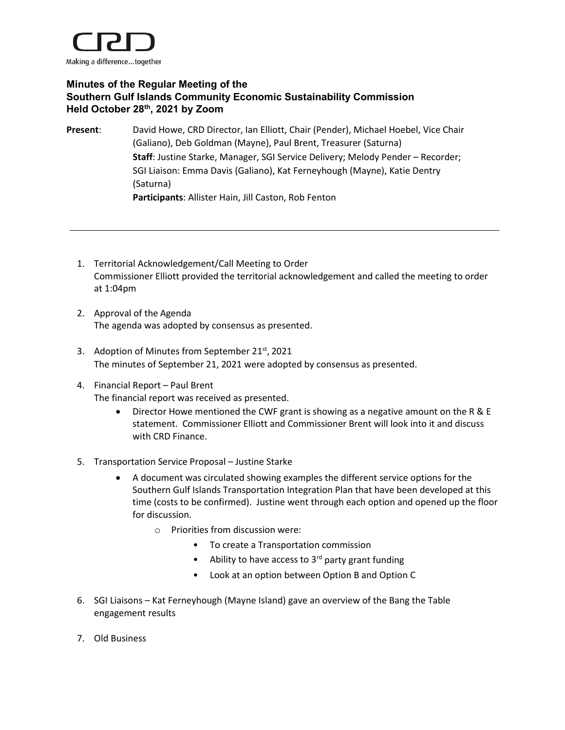

## **Minutes of the Regular Meeting of the Southern Gulf Islands Community Economic Sustainability Commission Held October 28th, 2021 by Zoom**

**Present**: David Howe, CRD Director, Ian Elliott, Chair (Pender), Michael Hoebel, Vice Chair (Galiano), Deb Goldman (Mayne), Paul Brent, Treasurer (Saturna) **Staff**: Justine Starke, Manager, SGI Service Delivery; Melody Pender – Recorder; SGI Liaison: Emma Davis (Galiano), Kat Ferneyhough (Mayne), Katie Dentry (Saturna) **Participants**: Allister Hain, Jill Caston, Rob Fenton

- 1. Territorial Acknowledgement/Call Meeting to Order Commissioner Elliott provided the territorial acknowledgement and called the meeting to order at 1:04pm
- 2. Approval of the Agenda The agenda was adopted by consensus as presented.
- 3. Adoption of Minutes from September 21<sup>st</sup>, 2021 The minutes of September 21, 2021 were adopted by consensus as presented.
- 4. Financial Report Paul Brent The financial report was received as presented.
	- Director Howe mentioned the CWF grant is showing as a negative amount on the R & E statement. Commissioner Elliott and Commissioner Brent will look into it and discuss with CRD Finance.
- 5. Transportation Service Proposal Justine Starke
	- A document was circulated showing examples the different service options for the Southern Gulf Islands Transportation Integration Plan that have been developed at this time (costs to be confirmed). Justine went through each option and opened up the floor for discussion.
		- o Priorities from discussion were:
			- To create a Transportation commission
			- Ability to have access to 3<sup>rd</sup> party grant funding
			- Look at an option between Option B and Option C
- 6. SGI Liaisons Kat Ferneyhough (Mayne Island) gave an overview of the Bang the Table engagement results
- 7. Old Business